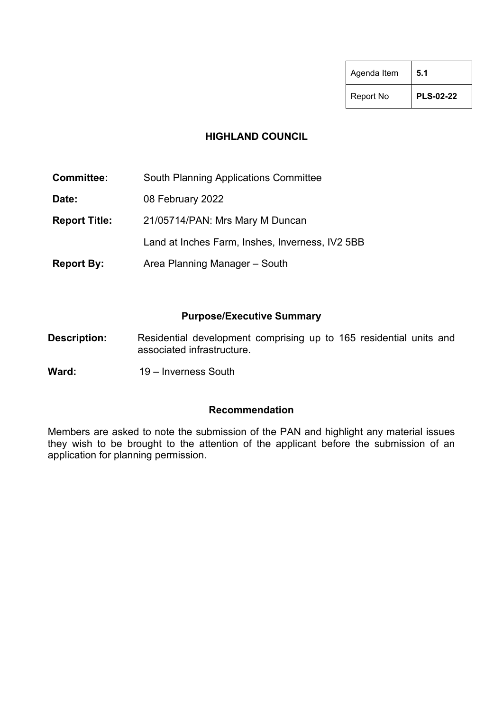| Agenda Item | 5.1              |
|-------------|------------------|
| Report No   | <b>PLS-02-22</b> |

#### **HIGHLAND COUNCIL**

| <b>Committee:</b>    | <b>South Planning Applications Committee</b>    |
|----------------------|-------------------------------------------------|
| Date:                | 08 February 2022                                |
| <b>Report Title:</b> | 21/05714/PAN: Mrs Mary M Duncan                 |
|                      | Land at Inches Farm, Inshes, Inverness, IV2 5BB |
| <b>Report By:</b>    | Area Planning Manager - South                   |

#### **Purpose/Executive Summary**

- **Description:** Residential development comprising up to 165 residential units and associated infrastructure.
- Ward: 19 Inverness South

#### **Recommendation**

Members are asked to note the submission of the PAN and highlight any material issues they wish to be brought to the attention of the applicant before the submission of an application for planning permission.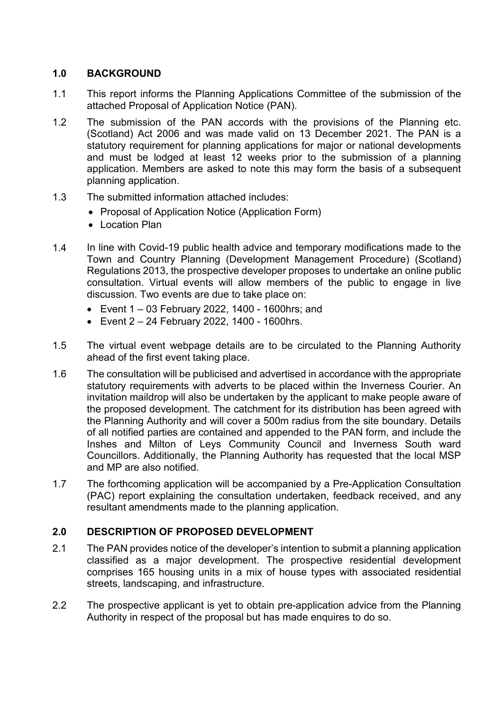## **1.0 BACKGROUND**

- 1.1 This report informs the Planning Applications Committee of the submission of the attached Proposal of Application Notice (PAN).
- 1.2 The submission of the PAN accords with the provisions of the Planning etc. (Scotland) Act 2006 and was made valid on 13 December 2021. The PAN is a statutory requirement for planning applications for major or national developments and must be lodged at least 12 weeks prior to the submission of a planning application. Members are asked to note this may form the basis of a subsequent planning application.
- 1.3 The submitted information attached includes:
	- Proposal of Application Notice (Application Form)
	- Location Plan
- 1.4 In line with Covid-19 public health advice and temporary modifications made to the Town and Country Planning (Development Management Procedure) (Scotland) Regulations 2013, the prospective developer proposes to undertake an online public consultation. Virtual events will allow members of the public to engage in live discussion. Two events are due to take place on:
	- Event 1 03 February 2022, 1400 1600hrs; and
	- Event 2 24 February 2022, 1400 1600hrs.
- 1.5 The virtual event webpage details are to be circulated to the Planning Authority ahead of the first event taking place.
- 1.6 The consultation will be publicised and advertised in accordance with the appropriate statutory requirements with adverts to be placed within the Inverness Courier. An invitation maildrop will also be undertaken by the applicant to make people aware of the proposed development. The catchment for its distribution has been agreed with the Planning Authority and will cover a 500m radius from the site boundary. Details of all notified parties are contained and appended to the PAN form, and include the Inshes and Milton of Leys Community Council and Inverness South ward Councillors. Additionally, the Planning Authority has requested that the local MSP and MP are also notified.
- 1.7 The forthcoming application will be accompanied by a Pre-Application Consultation (PAC) report explaining the consultation undertaken, feedback received, and any resultant amendments made to the planning application.

## **2.0 DESCRIPTION OF PROPOSED DEVELOPMENT**

- 2.1 The PAN provides notice of the developer's intention to submit a planning application classified as a major development. The prospective residential development comprises 165 housing units in a mix of house types with associated residential streets, landscaping, and infrastructure.
- 2.2 The prospective applicant is yet to obtain pre-application advice from the Planning Authority in respect of the proposal but has made enquires to do so.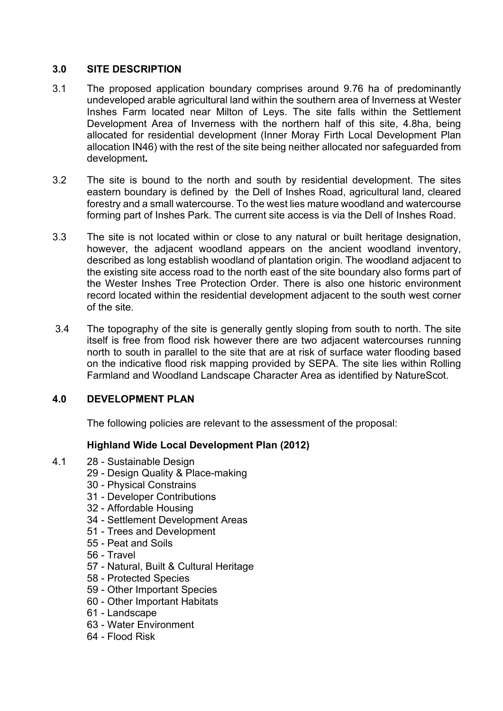## **3.0 SITE DESCRIPTION**

- 3.1 The proposed application boundary comprises around 9.76 ha of predominantly undeveloped arable agricultural land within the southern area of Inverness at Wester Inshes Farm located near Milton of Leys. The site falls within the Settlement Development Area of Inverness with the northern half of this site, 4.8ha, being allocated for residential development (Inner Moray Firth Local Development Plan allocation IN46) with the rest of the site being neither allocated nor safeguarded from development**.**
- 3.2 The site is bound to the north and south by residential development. The sites eastern boundary is defined by the Dell of Inshes Road, agricultural land, cleared forestry and a small watercourse. To the west lies mature woodland and watercourse forming part of Inshes Park. The current site access is via the Dell of Inshes Road.
- 3.3 The site is not located within or close to any natural or built heritage designation, however, the adjacent woodland appears on the ancient woodland inventory, described as long establish woodland of plantation origin. The woodland adjacent to the existing site access road to the north east of the site boundary also forms part of the Wester Inshes Tree Protection Order. There is also one historic environment record located within the residential development adjacent to the south west corner of the site.
- 3.4 The topography of the site is generally gently sloping from south to north. The site itself is free from flood risk however there are two adjacent watercourses running north to south in parallel to the site that are at risk of surface water flooding based on the indicative flood risk mapping provided by SEPA. The site lies within Rolling Farmland and Woodland Landscape Character Area as identified by NatureScot.

## **4.0 DEVELOPMENT PLAN**

The following policies are relevant to the assessment of the proposal:

## **Highland Wide Local Development Plan (2012)**

- 4.1 28 Sustainable Design
	- 29 Design Quality & Place-making
	- 30 Physical Constrains
	- 31 Developer Contributions
	- 32 Affordable Housing
	- 34 Settlement Development Areas
	- 51 Trees and Development
	- 55 Peat and Soils
	- 56 Travel
	- 57 Natural, Built & Cultural Heritage
	- 58 Protected Species
	- 59 Other Important Species
	- 60 Other Important Habitats
	- 61 Landscape
	- 63 Water Environment
	- 64 Flood Risk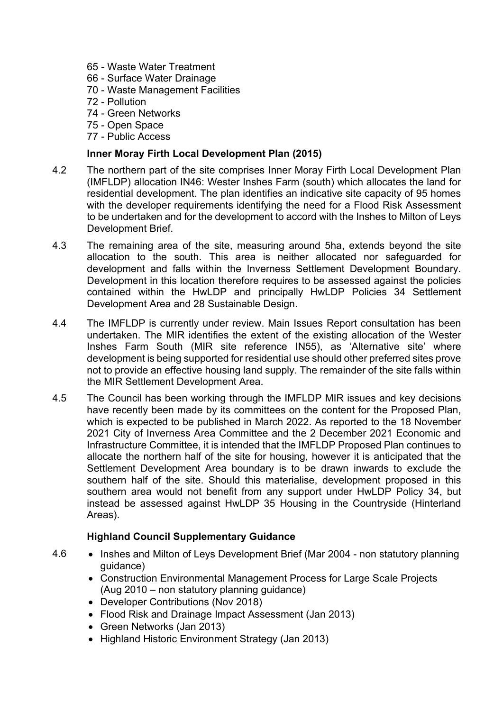- 65 Waste Water Treatment
- 66 Surface Water Drainage
- 70 Waste Management Facilities
- 72 Pollution
- 74 Green Networks
- 75 Open Space
- 77 Public Access

#### **Inner Moray Firth Local Development Plan (2015)**

- 4.2 The northern part of the site comprises Inner Moray Firth Local Development Plan (IMFLDP) allocation IN46: Wester Inshes Farm (south) which allocates the land for residential development. The plan identifies an indicative site capacity of 95 homes with the developer requirements identifying the need for a Flood Risk Assessment to be undertaken and for the development to accord with the Inshes to Milton of Leys Development Brief.
- 4.3 The remaining area of the site, measuring around 5ha, extends beyond the site allocation to the south. This area is neither allocated nor safeguarded for development and falls within the Inverness Settlement Development Boundary. Development in this location therefore requires to be assessed against the policies contained within the HwLDP and principally HwLDP Policies 34 Settlement Development Area and 28 Sustainable Design.
- 4.4 The IMFLDP is currently under review. Main Issues Report consultation has been undertaken. The MIR identifies the extent of the existing allocation of the Wester Inshes Farm South (MIR site reference IN55), as 'Alternative site' where development is being supported for residential use should other preferred sites prove not to provide an effective housing land supply. The remainder of the site falls within the MIR Settlement Development Area.
- 4.5 The Council has been working through the IMFLDP MIR issues and key decisions have recently been made by its committees on the content for the Proposed Plan, which is expected to be published in March 2022. As reported to the 18 November 2021 City of Inverness Area Committee and the 2 December 2021 Economic and Infrastructure Committee, it is intended that the IMFLDP Proposed Plan continues to allocate the northern half of the site for housing, however it is anticipated that the Settlement Development Area boundary is to be drawn inwards to exclude the southern half of the site. Should this materialise, development proposed in this southern area would not benefit from any support under HwLDP Policy 34, but instead be assessed against HwLDP 35 Housing in the Countryside (Hinterland Areas).

## **Highland Council Supplementary Guidance**

- 4.6 Inshes and Milton of Leys Development Brief (Mar 2004 non statutory planning guidance)
	- Construction Environmental Management Process for Large Scale Projects (Aug 2010 – non statutory planning guidance)
	- Developer Contributions (Nov 2018)
	- Flood Risk and Drainage Impact Assessment (Jan 2013)
	- Green Networks (Jan 2013)
	- Highland Historic Environment Strategy (Jan 2013)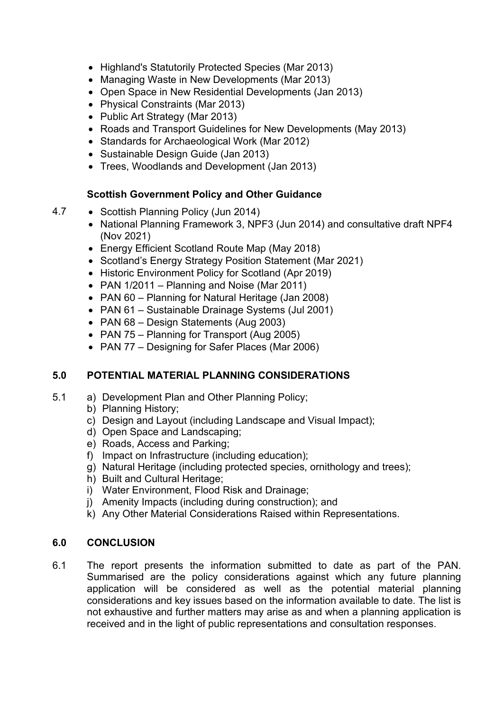- Highland's Statutorily Protected Species (Mar 2013)
- Managing Waste in New Developments (Mar 2013)
- Open Space in New Residential Developments (Jan 2013)
- Physical Constraints (Mar 2013)
- Public Art Strategy (Mar 2013)
- Roads and Transport Guidelines for New Developments (May 2013)
- Standards for Archaeological Work (Mar 2012)
- Sustainable Design Guide (Jan 2013)
- Trees, Woodlands and Development (Jan 2013)

# **Scottish Government Policy and Other Guidance**

- 4.7 Scottish Planning Policy (Jun 2014)
	- National Planning Framework 3, NPF3 (Jun 2014) and consultative draft NPF4 (Nov 2021)
	- Energy Efficient Scotland Route Map (May 2018)
	- Scotland's Energy Strategy Position Statement (Mar 2021)
	- Historic Environment Policy for Scotland (Apr 2019)
	- PAN 1/2011 Planning and Noise (Mar 2011)
	- PAN 60 Planning for Natural Heritage (Jan 2008)
	- PAN 61 Sustainable Drainage Systems (Jul 2001)
	- PAN 68 Design Statements (Aug 2003)
	- PAN 75 Planning for Transport (Aug 2005)
	- PAN 77 Designing for Safer Places (Mar 2006)

# **5.0 POTENTIAL MATERIAL PLANNING CONSIDERATIONS**

- 5.1 a) Development Plan and Other Planning Policy;
	- b) Planning History;
	- c) Design and Layout (including Landscape and Visual Impact);
	- d) Open Space and Landscaping;
	- e) Roads, Access and Parking;
	- f) Impact on Infrastructure (including education);
	- g) Natural Heritage (including protected species, ornithology and trees);
	- h) Built and Cultural Heritage;
	- i) Water Environment, Flood Risk and Drainage;
	- j) Amenity Impacts (including during construction); and
	- k) Any Other Material Considerations Raised within Representations.

## **6.0 CONCLUSION**

6.1 The report presents the information submitted to date as part of the PAN. Summarised are the policy considerations against which any future planning application will be considered as well as the potential material planning considerations and key issues based on the information available to date. The list is not exhaustive and further matters may arise as and when a planning application is received and in the light of public representations and consultation responses.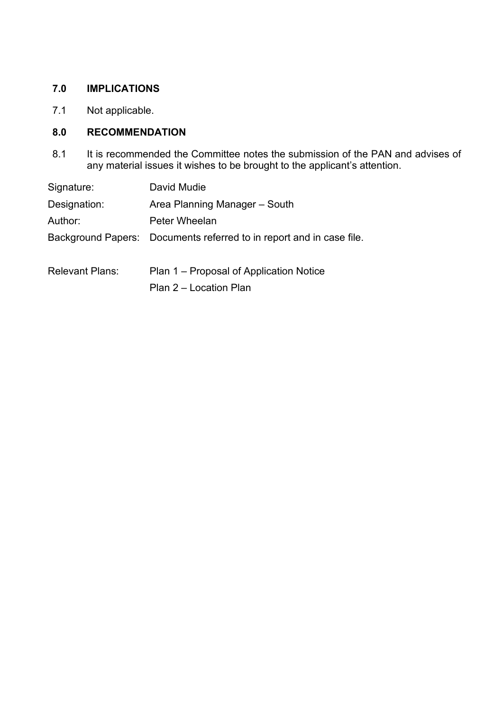#### **7.0 IMPLICATIONS**

7.1 Not applicable.

## **8.0 RECOMMENDATION**

8.1 It is recommended the Committee notes the submission of the PAN and advises of any material issues it wishes to be brought to the applicant's attention.

| Signature:             | David Mudie                                                          |
|------------------------|----------------------------------------------------------------------|
| Designation:           | Area Planning Manager – South                                        |
| Author:                | Peter Wheelan                                                        |
|                        | Background Papers: Documents referred to in report and in case file. |
| <b>Relevant Plans:</b> | Plan 1 – Proposal of Application Notice                              |

Plan 2 – Location Plan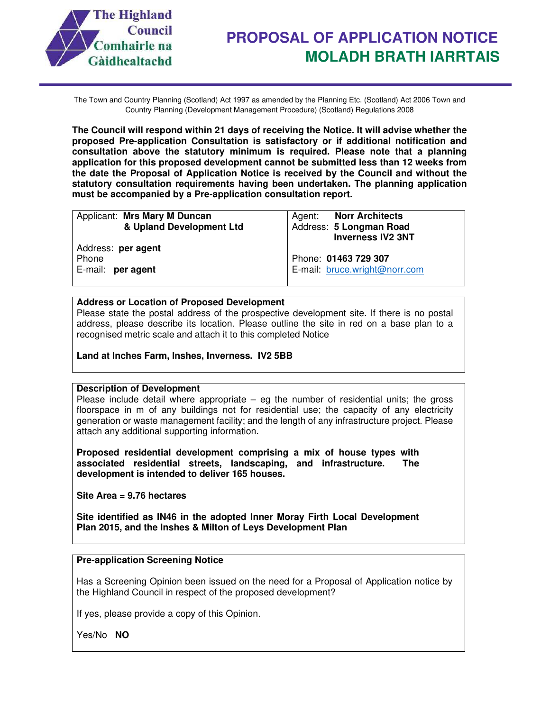

The Town and Country Planning (Scotland) Act 1997 as amended by the Planning Etc. (Scotland) Act 2006 Town and Country Planning (Development Management Procedure) (Scotland) Regulations 2008

**The Council will respond within 21 days of receiving the Notice. It will advise whether the proposed Pre-application Consultation is satisfactory or if additional notification and consultation above the statutory minimum is required. Please note that a planning application for this proposed development cannot be submitted less than 12 weeks from the date the Proposal of Application Notice is received by the Council and without the statutory consultation requirements having been undertaken. The planning application must be accompanied by a Pre-application consultation report.** 

| Applicant: Mrs Mary M Duncan<br>& Upland Development Ltd | Agent: Norr Architects<br>Address: 5 Longman Road<br><b>Inverness IV2 3NT</b> |
|----------------------------------------------------------|-------------------------------------------------------------------------------|
| Address: per agent<br>Phone<br>E-mail: per agent         | Phone: 01463 729 307<br>E-mail: bruce.wright@norr.com                         |
|                                                          |                                                                               |

#### **Address or Location of Proposed Development**

Please state the postal address of the prospective development site. If there is no postal address, please describe its location. Please outline the site in red on a base plan to a recognised metric scale and attach it to this completed Notice

**Land at Inches Farm, Inshes, Inverness. IV2 5BB** 

#### **Description of Development**

Please include detail where appropriate  $-$  eg the number of residential units; the gross floorspace in m of any buildings not for residential use; the capacity of any electricity generation or waste management facility; and the length of any infrastructure project. Please attach any additional supporting information.

**Proposed residential development comprising a mix of house types with associated residential streets, landscaping, and infrastructure. The development is intended to deliver 165 houses.** 

**Site Area = 9.76 hectares** 

**Site identified as IN46 in the adopted Inner Moray Firth Local Development Plan 2015, and the Inshes & Milton of Leys Development Plan** 

#### **Pre-application Screening Notice**

Has a Screening Opinion been issued on the need for a Proposal of Application notice by the Highland Council in respect of the proposed development?

If yes, please provide a copy of this Opinion.

Yes/No **NO**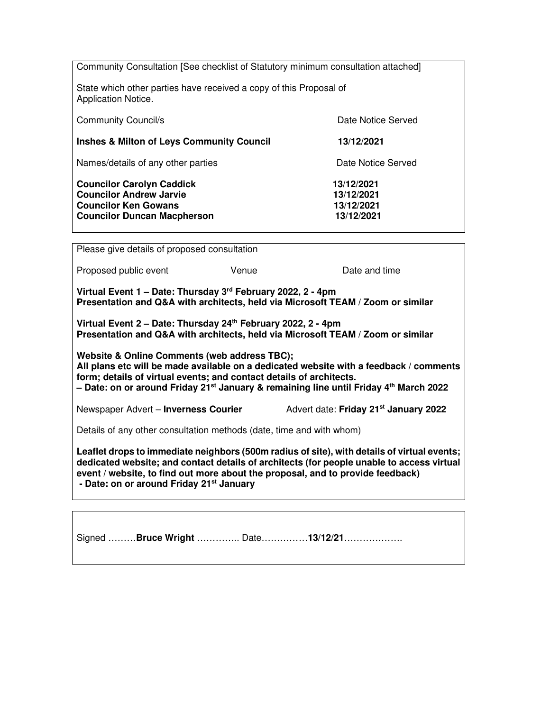Community Consultation [See checklist of Statutory minimum consultation attached] State which other parties have received a copy of this Proposal of Application Notice. Community Council/s **Date Notice Served Date Notice Served Inshes & Milton of Leys Community Council 13/12/2021**  Names/details of any other parties **Date Notice Served** Date Notice Served **Councilor Carolyn Caddick 13/12/2021 Councilor Andrew Jarvie 13/12/2021 Councilor Ken Gowans 13/12/2021 Councilor Duncan Macpherson 13/12/2021** 

Please give details of proposed consultation Proposed public event The Venue Controller and time Date and time **Virtual Event 1 – Date: Thursday 3rd February 2022, 2 - 4pm Presentation and Q&A with architects, held via Microsoft TEAM / Zoom or similar Virtual Event 2 – Date: Thursday 24th February 2022, 2 - 4pm Presentation and Q&A with architects, held via Microsoft TEAM / Zoom or similar Website & Online Comments (web address TBC); All plans etc will be made available on a dedicated website with a feedback / comments form; details of virtual events; and contact details of architects. – Date: on or around Friday 21st January & remaining line until Friday 4th March 2022** Newspaper Advert – **Inverness Courier** Advert date: **Friday 21st January 2022** Details of any other consultation methods (date, time and with whom) **Leaflet drops to immediate neighbors (500m radius of site), with details of virtual events; dedicated website; and contact details of architects (for people unable to access virtual event / website, to find out more about the proposal, and to provide feedback) - Date: on or around Friday 21st January**

Signed ………**Bruce Wright** ………….. Date……………**13/12/21**……………….